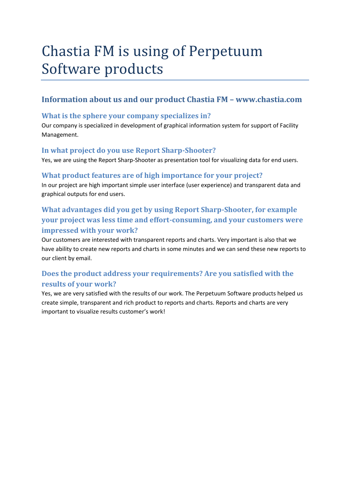# Chastia FM is using of Perpetuum Software products

## **Information about us and our product Chastia FM – www.chastia.com**

#### **What is the sphere your company specializes in?**

Our company is specialized in development of graphical information system for support of Facility Management.

#### **In what project do you use Report Sharp-Shooter?**

Yes, we are using the Report Sharp-Shooter as presentation tool for visualizing data for end users.

#### **What product features are of high importance for your project?**

In our project are high important simple user interface (user experience) and transparent data and graphical outputs for end users.

## **What advantages did you get by using Report Sharp-Shooter, for example your project was less time and effort-consuming, and your customers were impressed with your work?**

Our customers are interested with transparent reports and charts. Very important is also that we have ability to create new reports and charts in some minutes and we can send these new reports to our client by email.

## **Does the product address your requirements? Are you satisfied with the results of your work?**

Yes, we are very satisfied with the results of our work. The Perpetuum Software products helped us create simple, transparent and rich product to reports and charts. Reports and charts are very important to visualize results customer's work!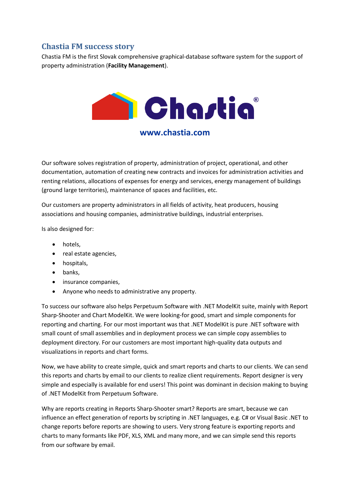## **Chastia FM success story**

Chastia FM is the first Slovak comprehensive graphical-database software system for the support of property administration (**Facility Management**).



### **www.chastia.com**

Our software solves registration of property, administration of project, operational, and other documentation, automation of creating new contracts and invoices for administration activities and renting relations, allocations of expenses for energy and services, energy management of buildings (ground large territories), maintenance of spaces and facilities, etc.

Our customers are property administrators in all fields of activity, heat producers, housing associations and housing companies, administrative buildings, industrial enterprises.

Is also designed for:

- hotels,
- real estate agencies,
- hospitals,
- banks,
- insurance companies,
- Anyone who needs to administrative any property.

To success our software also helps Perpetuum Software with .NET ModelKit suite, mainly with Report Sharp-Shooter and Chart ModelKit. We were looking-for good, smart and simple components for reporting and charting. For our most important was that .NET ModelKit is pure .NET software with small count of small assemblies and in deployment process we can simple copy assemblies to deployment directory. For our customers are most important high-quality data outputs and visualizations in reports and chart forms.

Now, we have ability to create simple, quick and smart reports and charts to our clients. We can send this reports and charts by email to our clients to realize client requirements. Report designer is very simple and especially is available for end users! This point was dominant in decision making to buying of .NET ModelKit from Perpetuum Software.

Why are reports creating in Reports Sharp-Shooter smart? Reports are smart, because we can influence an effect generation of reports by scripting in .NET languages, e.g. C# or Visual Basic .NET to change reports before reports are showing to users. Very strong feature is exporting reports and charts to many formants like PDF, XLS, XML and many more, and we can simple send this reports from our software by email.